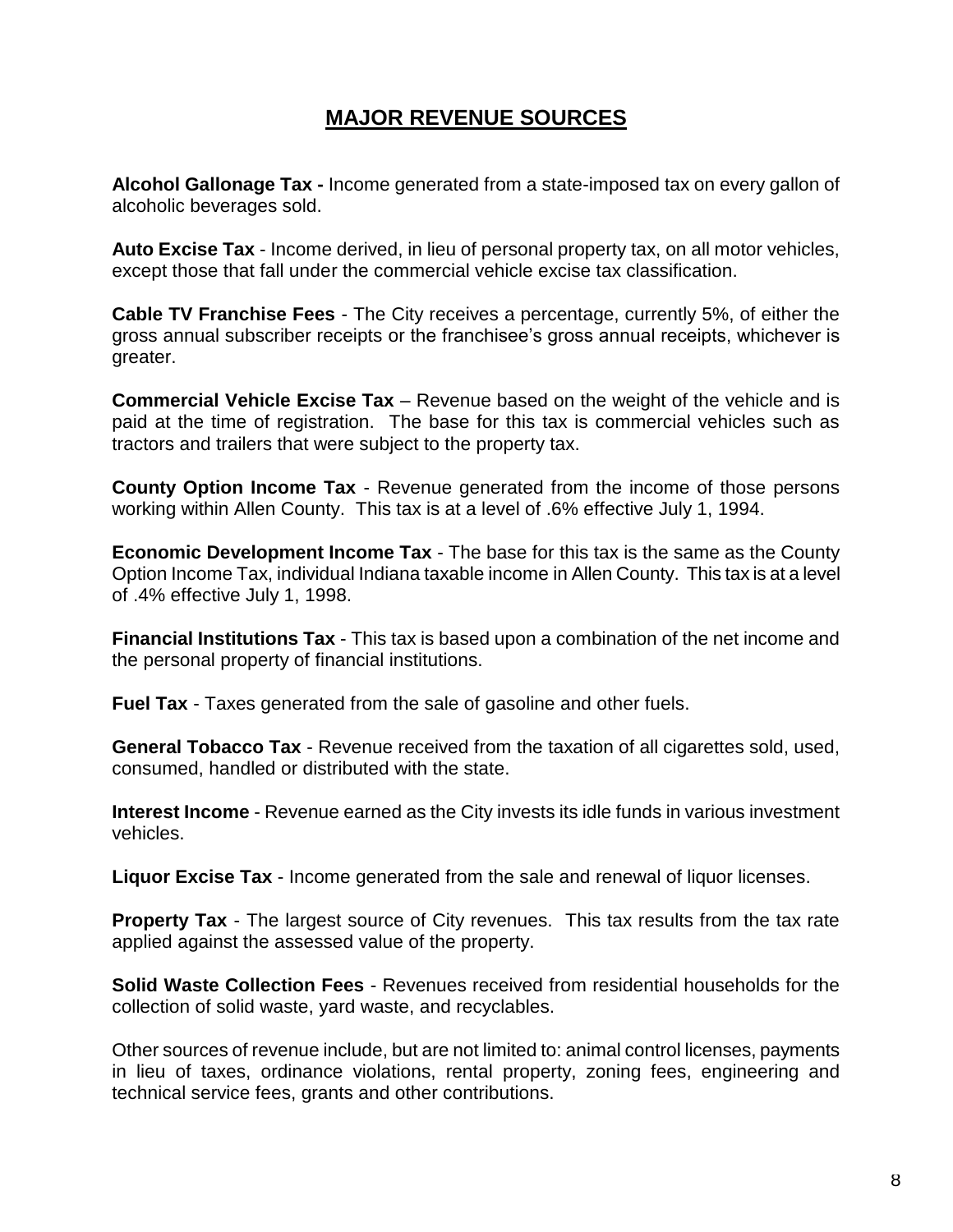# **MAJOR REVENUE SOURCES**

**Alcohol Gallonage Tax -** Income generated from a state-imposed tax on every gallon of alcoholic beverages sold.

**Auto Excise Tax** - Income derived, in lieu of personal property tax, on all motor vehicles, except those that fall under the commercial vehicle excise tax classification.

**Cable TV Franchise Fees** - The City receives a percentage, currently 5%, of either the gross annual subscriber receipts or the franchisee's gross annual receipts, whichever is greater.

**Commercial Vehicle Excise Tax** – Revenue based on the weight of the vehicle and is paid at the time of registration. The base for this tax is commercial vehicles such as tractors and trailers that were subject to the property tax.

**County Option Income Tax** - Revenue generated from the income of those persons working within Allen County. This tax is at a level of .6% effective July 1, 1994.

**Economic Development Income Tax** - The base for this tax is the same as the County Option Income Tax, individual Indiana taxable income in Allen County. This tax is at a level of .4% effective July 1, 1998.

**Financial Institutions Tax** - This tax is based upon a combination of the net income and the personal property of financial institutions.

**Fuel Tax** - Taxes generated from the sale of gasoline and other fuels.

**General Tobacco Tax** - Revenue received from the taxation of all cigarettes sold, used, consumed, handled or distributed with the state.

**Interest Income** - Revenue earned as the City invests its idle funds in various investment vehicles.

**Liquor Excise Tax** - Income generated from the sale and renewal of liquor licenses.

**Property Tax** - The largest source of City revenues. This tax results from the tax rate applied against the assessed value of the property.

**Solid Waste Collection Fees** - Revenues received from residential households for the collection of solid waste, yard waste, and recyclables.

Other sources of revenue include, but are not limited to: animal control licenses, payments in lieu of taxes, ordinance violations, rental property, zoning fees, engineering and technical service fees, grants and other contributions.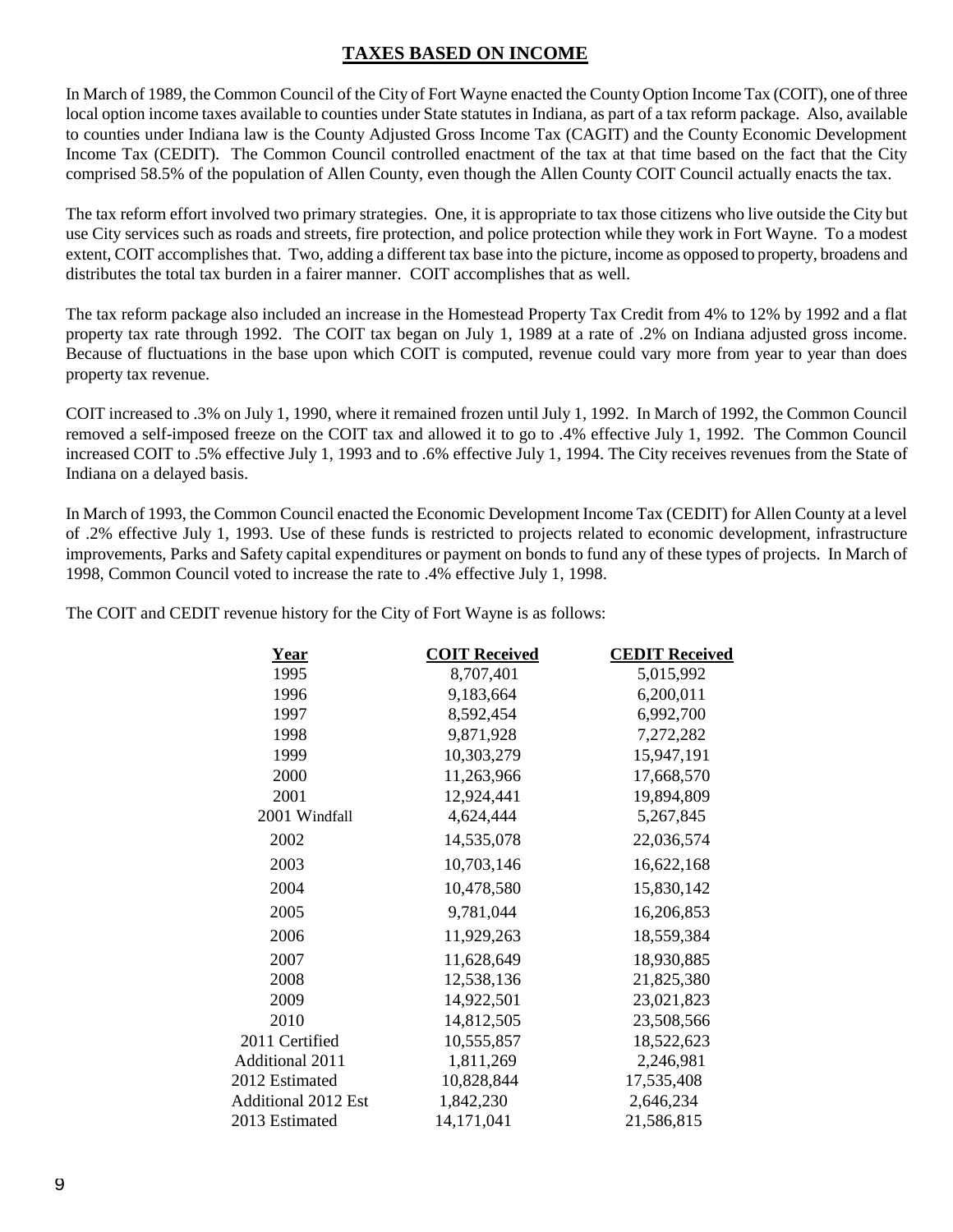# **TAXES BASED ON INCOME**

In March of 1989, the Common Council of the City of Fort Wayne enacted the County Option Income Tax (COIT), one of three local option income taxes available to counties under State statutes in Indiana, as part of a tax reform package. Also, available to counties under Indiana law is the County Adjusted Gross Income Tax (CAGIT) and the County Economic Development Income Tax (CEDIT). The Common Council controlled enactment of the tax at that time based on the fact that the City comprised 58.5% of the population of Allen County, even though the Allen County COIT Council actually enacts the tax.

The tax reform effort involved two primary strategies. One, it is appropriate to tax those citizens who live outside the City but use City services such as roads and streets, fire protection, and police protection while they work in Fort Wayne. To a modest extent, COIT accomplishes that. Two, adding a different tax base into the picture, income as opposed to property, broadens and distributes the total tax burden in a fairer manner. COIT accomplishes that as well.

The tax reform package also included an increase in the Homestead Property Tax Credit from 4% to 12% by 1992 and a flat property tax rate through 1992. The COIT tax began on July 1, 1989 at a rate of .2% on Indiana adjusted gross income. Because of fluctuations in the base upon which COIT is computed, revenue could vary more from year to year than does property tax revenue.

COIT increased to .3% on July 1, 1990, where it remained frozen until July 1, 1992. In March of 1992, the Common Council removed a self-imposed freeze on the COIT tax and allowed it to go to .4% effective July 1, 1992. The Common Council increased COIT to .5% effective July 1, 1993 and to .6% effective July 1, 1994. The City receives revenues from the State of Indiana on a delayed basis.

In March of 1993, the Common Council enacted the Economic Development Income Tax (CEDIT) for Allen County at a level of .2% effective July 1, 1993. Use of these funds is restricted to projects related to economic development, infrastructure improvements, Parks and Safety capital expenditures or payment on bonds to fund any of these types of projects. In March of 1998, Common Council voted to increase the rate to .4% effective July 1, 1998.

The COIT and CEDIT revenue history for the City of Fort Wayne is as follows:

| Year                       | <b>COIT Received</b> | <b>CEDIT Received</b> |
|----------------------------|----------------------|-----------------------|
| 1995                       | 8,707,401            | 5,015,992             |
| 1996                       | 9,183,664            | 6,200,011             |
| 1997                       | 8,592,454            | 6,992,700             |
| 1998                       | 9,871,928            | 7,272,282             |
| 1999                       | 10,303,279           | 15,947,191            |
| 2000                       | 11,263,966           | 17,668,570            |
| 2001                       | 12,924,441           | 19,894,809            |
| 2001 Windfall              | 4,624,444            | 5,267,845             |
| 2002                       | 14,535,078           | 22,036,574            |
| 2003                       | 10,703,146           | 16,622,168            |
| 2004                       | 10,478,580           | 15,830,142            |
| 2005                       | 9,781,044            | 16,206,853            |
| 2006                       | 11,929,263           | 18,559,384            |
| 2007                       | 11,628,649           | 18,930,885            |
| 2008                       | 12,538,136           | 21,825,380            |
| 2009                       | 14,922,501           | 23,021,823            |
| 2010                       | 14,812,505           | 23,508,566            |
| 2011 Certified             | 10,555,857           | 18,522,623            |
| <b>Additional 2011</b>     | 1,811,269            | 2,246,981             |
| 2012 Estimated             | 10,828,844           | 17,535,408            |
| <b>Additional 2012 Est</b> | 1,842,230            | 2,646,234             |
| 2013 Estimated             | 14,171,041           | 21,586,815            |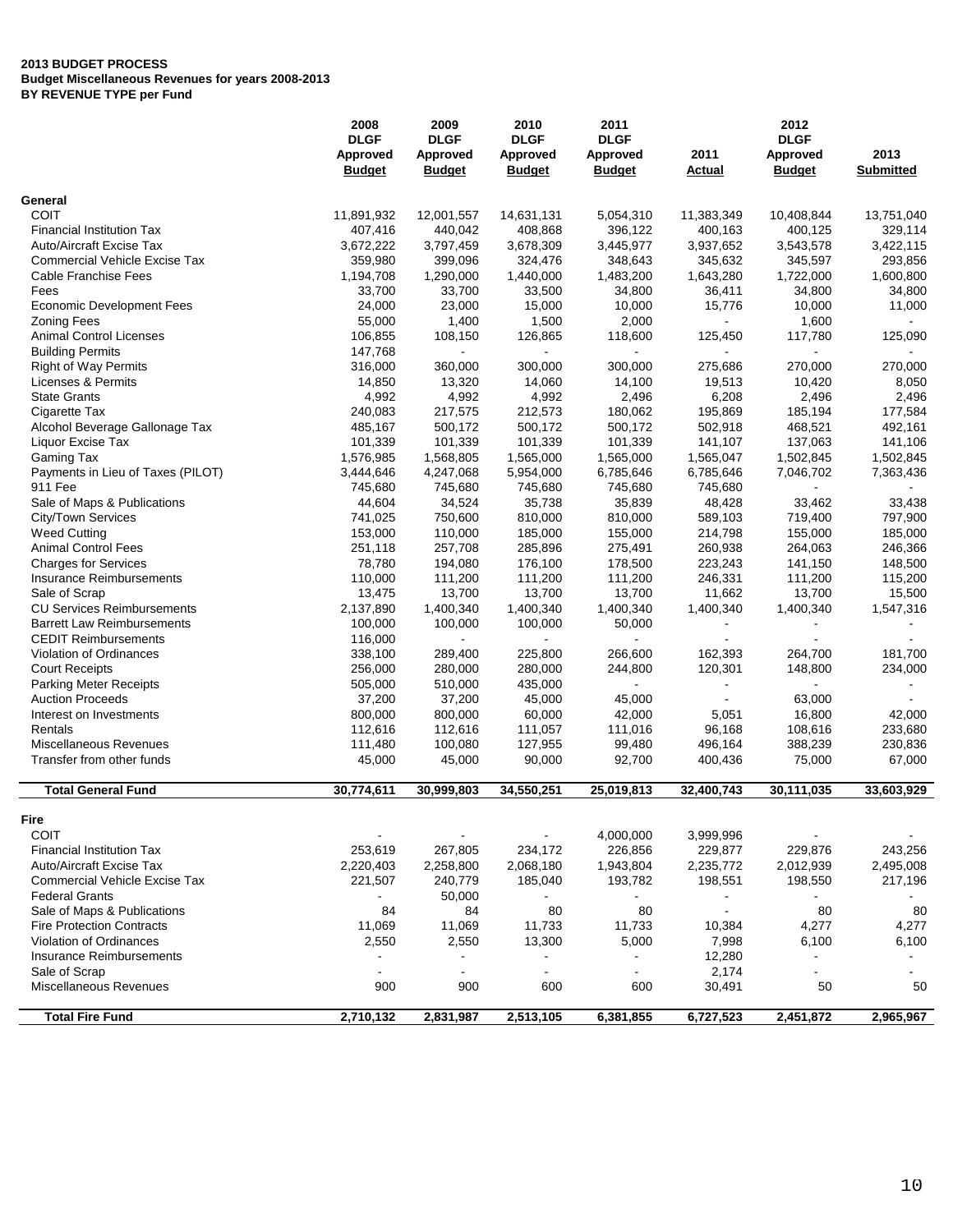|                                              | 2008           | 2009           | 2010           | 2011                     |                | 2012                     |                  |
|----------------------------------------------|----------------|----------------|----------------|--------------------------|----------------|--------------------------|------------------|
|                                              | <b>DLGF</b>    | <b>DLGF</b>    | <b>DLGF</b>    | <b>DLGF</b>              |                | <b>DLGF</b>              |                  |
|                                              | Approved       | Approved       | Approved       | Approved                 | 2011           | Approved                 | 2013             |
|                                              | <b>Budget</b>  | <b>Budget</b>  | <b>Budget</b>  | <b>Budget</b>            | Actual         | <b>Budget</b>            | <b>Submitted</b> |
| General                                      |                |                |                |                          |                |                          |                  |
| COIT                                         | 11,891,932     | 12,001,557     | 14,631,131     | 5,054,310                | 11,383,349     | 10,408,844               | 13,751,040       |
| <b>Financial Institution Tax</b>             | 407,416        | 440,042        | 408,868        | 396,122                  | 400,163        | 400,125                  | 329,114          |
| <b>Auto/Aircraft Excise Tax</b>              | 3,672,222      | 3,797,459      | 3,678,309      | 3,445,977                | 3,937,652      | 3,543,578                | 3,422,115        |
| <b>Commercial Vehicle Excise Tax</b>         | 359,980        | 399,096        | 324,476        | 348,643                  | 345,632        | 345,597                  | 293,856          |
| <b>Cable Franchise Fees</b>                  | 1,194,708      | 1,290,000      | 1,440,000      | 1,483,200                | 1,643,280      | 1,722,000                | 1,600,800        |
| Fees                                         | 33,700         | 33,700         | 33,500         | 34,800                   | 36,411         | 34,800                   | 34,800           |
| <b>Economic Development Fees</b>             | 24,000         | 23,000         | 15,000         | 10,000                   | 15,776         | 10,000                   | 11,000           |
| <b>Zoning Fees</b>                           | 55,000         | 1,400          | 1,500          | 2,000                    |                | 1,600                    |                  |
| <b>Animal Control Licenses</b>               | 106,855        | 108,150        | 126,865        | 118,600                  | 125,450        | 117,780                  | 125,090          |
| <b>Building Permits</b>                      | 147,768        |                |                |                          |                |                          |                  |
| <b>Right of Way Permits</b>                  | 316,000        | 360,000        | 300,000        | 300,000                  | 275,686        | 270,000                  | 270,000          |
| Licenses & Permits                           | 14,850         | 13,320         | 14,060         | 14,100                   | 19,513         | 10,420                   | 8,050            |
| <b>State Grants</b>                          | 4,992          | 4,992          | 4,992          | 2,496                    | 6,208          | 2,496                    | 2,496            |
| Cigarette Tax                                | 240,083        | 217,575        | 212,573        | 180,062                  | 195,869        | 185,194                  | 177,584          |
| Alcohol Beverage Gallonage Tax               | 485,167        | 500,172        | 500,172        | 500,172                  | 502,918        | 468,521                  | 492,161          |
| Liquor Excise Tax                            | 101,339        | 101,339        | 101,339        | 101,339                  | 141,107        | 137,063                  | 141,106          |
| Gaming Tax                                   | 1,576,985      | 1,568,805      | 1,565,000      | 1,565,000                | 1,565,047      | 1,502,845                | 1,502,845        |
|                                              | 3,444,646      | 4,247,068      | 5,954,000      |                          | 6,785,646      |                          |                  |
| Payments in Lieu of Taxes (PILOT)<br>911 Fee | 745,680        | 745,680        | 745,680        | 6,785,646<br>745,680     | 745,680        | 7,046,702                | 7,363,436        |
|                                              |                |                |                |                          |                |                          |                  |
| Sale of Maps & Publications                  | 44,604         | 34,524         | 35,738         | 35,839                   | 48,428         | 33,462                   | 33,438           |
| City/Town Services                           | 741,025        | 750,600        | 810,000        | 810,000                  | 589,103        | 719,400                  | 797,900          |
| <b>Weed Cutting</b>                          | 153,000        | 110,000        | 185,000        | 155,000                  | 214,798        | 155,000                  | 185,000          |
| <b>Animal Control Fees</b>                   | 251,118        | 257,708        | 285,896        | 275,491                  | 260,938        | 264,063                  | 246,366          |
| <b>Charges for Services</b>                  | 78,780         | 194,080        | 176,100        | 178,500                  | 223,243        | 141,150                  | 148,500          |
| Insurance Reimbursements                     | 110,000        | 111,200        | 111,200        | 111,200                  | 246,331        | 111,200                  | 115,200          |
| Sale of Scrap                                | 13,475         | 13,700         | 13,700         | 13,700                   | 11,662         | 13,700                   | 15,500           |
| <b>CU Services Reimbursements</b>            | 2,137,890      | 1,400,340      | 1,400,340      | 1,400,340                | 1,400,340      | 1,400,340                | 1,547,316        |
| <b>Barrett Law Reimbursements</b>            | 100,000        | 100,000        | 100,000        | 50,000                   |                |                          |                  |
| <b>CEDIT Reimbursements</b>                  | 116,000        |                |                |                          |                |                          |                  |
| Violation of Ordinances                      | 338,100        | 289,400        | 225,800        | 266,600                  | 162,393        | 264,700                  | 181,700          |
| <b>Court Receipts</b>                        | 256,000        | 280,000        | 280,000        | 244,800                  | 120,301        | 148,800                  | 234,000          |
| Parking Meter Receipts                       | 505,000        | 510,000        | 435,000        | $\blacksquare$           |                |                          |                  |
| <b>Auction Proceeds</b>                      | 37,200         | 37,200         | 45,000         | 45,000                   |                | 63,000                   |                  |
| Interest on Investments                      | 800,000        | 800,000        | 60,000         | 42,000                   | 5,051          | 16,800                   | 42,000           |
| Rentals                                      | 112,616        | 112,616        | 111,057        | 111,016                  | 96,168         | 108,616                  | 233,680          |
| Miscellaneous Revenues                       | 111,480        | 100,080        | 127,955        | 99,480                   | 496,164        | 388,239                  | 230,836          |
| Transfer from other funds                    | 45,000         | 45,000         | 90,000         | 92,700                   | 400,436        | 75,000                   | 67,000           |
| <b>Total General Fund</b>                    | 30,774,611     | 30,999,803     | 34.550.251     | 25,019,813               | 32,400,743     | 30,111,035               | 33,603,929       |
|                                              |                |                |                |                          |                |                          |                  |
| Fire                                         |                |                |                |                          |                |                          |                  |
| <b>COIT</b>                                  |                |                |                | 4,000,000                | 3,999,996      |                          |                  |
| <b>Financial Institution Tax</b>             | 253,619        | 267,805        | 234,172        | 226,856                  | 229,877        | 229,876                  | 243,256          |
| Auto/Aircraft Excise Tax                     | 2,220,403      | 2,258,800      | 2,068,180      | 1,943,804                | 2,235,772      | 2,012,939                | 2,495,008        |
| <b>Commercial Vehicle Excise Tax</b>         | 221,507        | 240,779        | 185,040        | 193,782                  | 198,551        | 198,550                  | 217,196          |
| <b>Federal Grants</b>                        | $\blacksquare$ | 50,000         |                | $\blacksquare$           | $\blacksquare$ |                          |                  |
| Sale of Maps & Publications                  | 84             | 84             | 80             | 80                       |                | 80                       | 80               |
| <b>Fire Protection Contracts</b>             | 11,069         | 11,069         | 11,733         | 11,733                   | 10,384         | 4,277                    | 4,277            |
| Violation of Ordinances                      | 2,550          | 2,550          | 13,300         | 5,000                    | 7,998          | 6,100                    | 6,100            |
| Insurance Reimbursements                     | ٠              |                |                |                          | 12,280         |                          |                  |
| Sale of Scrap                                | $\blacksquare$ | $\blacksquare$ | $\blacksquare$ | $\overline{\phantom{a}}$ | 2,174          | $\overline{\phantom{a}}$ |                  |
| Miscellaneous Revenues                       | 900            | 900            | 600            | 600                      | 30,491         | 50                       | 50               |
| <b>Total Fire Fund</b>                       | 2,710,132      | 2,831,987      | 2,513,105      | 6,381,855                | 6,727,523      | 2,451,872                | 2,965,967        |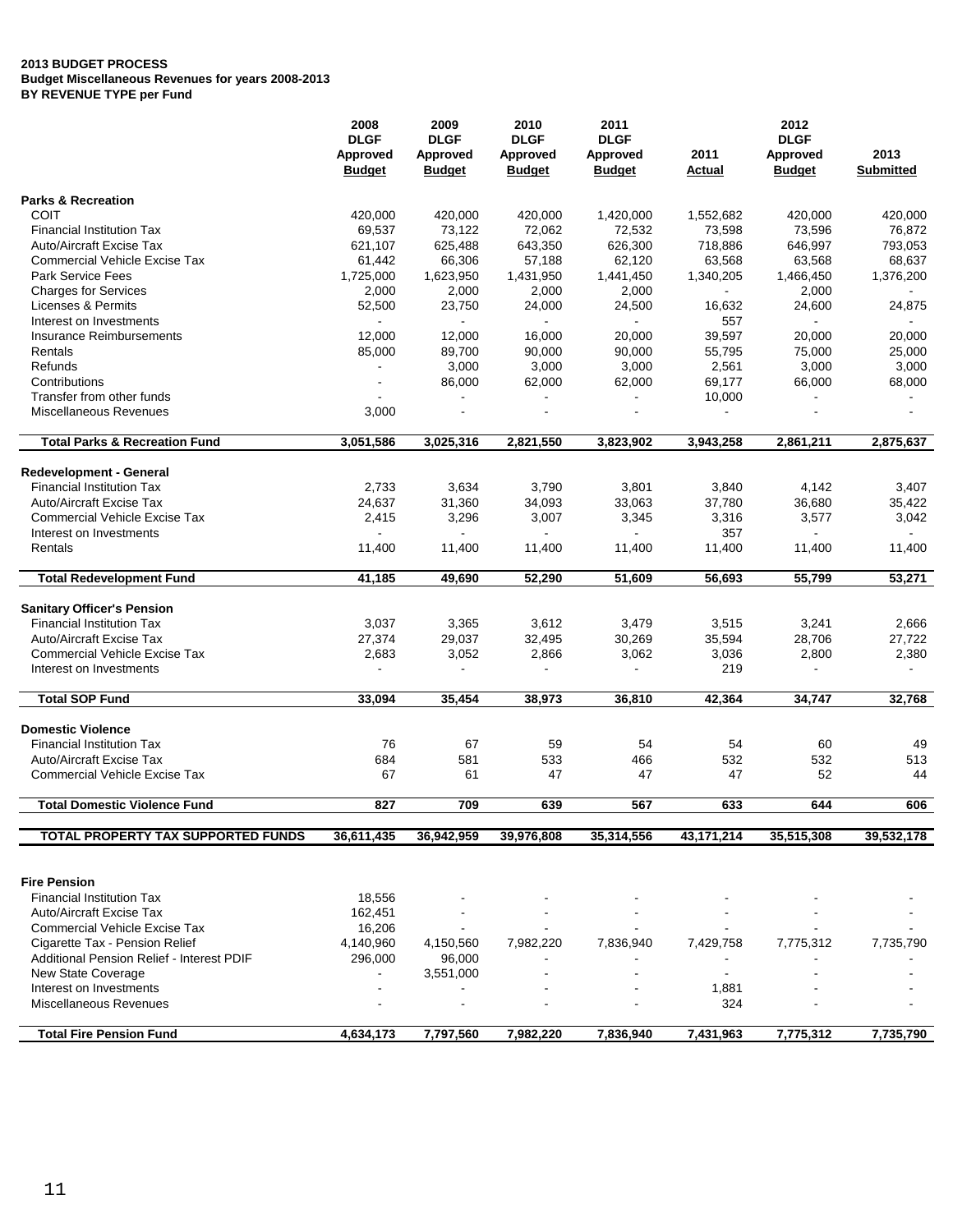|                                                     | 2008                    | 2009                      | 2010                             | 2011                      | 2012           |                                  |                  |  |
|-----------------------------------------------------|-------------------------|---------------------------|----------------------------------|---------------------------|----------------|----------------------------------|------------------|--|
|                                                     | <b>DLGF</b><br>Approved | <b>DLGF</b>               | <b>DLGF</b>                      | <b>DLGF</b>               | 2011           | <b>DLGF</b>                      | 2013             |  |
|                                                     | <b>Budget</b>           | Approved<br><b>Budget</b> | <b>Approved</b><br><b>Budget</b> | Approved<br><b>Budget</b> | Actual         | <b>Approved</b><br><b>Budget</b> | <b>Submitted</b> |  |
| <b>Parks &amp; Recreation</b>                       |                         |                           |                                  |                           |                |                                  |                  |  |
| <b>COIT</b>                                         | 420,000                 | 420,000                   | 420,000                          | 1,420,000                 | 1,552,682      | 420,000                          | 420,000          |  |
| <b>Financial Institution Tax</b>                    | 69,537                  | 73,122                    | 72,062                           | 72,532                    | 73,598         | 73,596                           | 76,872           |  |
| <b>Auto/Aircraft Excise Tax</b>                     | 621,107                 | 625,488                   | 643,350                          | 626,300                   | 718,886        | 646,997                          | 793,053          |  |
| <b>Commercial Vehicle Excise Tax</b>                | 61,442                  | 66,306                    | 57,188                           | 62,120                    | 63,568         | 63,568                           | 68,637           |  |
| <b>Park Service Fees</b>                            | 1,725,000               | 1,623,950                 | 1,431,950                        | 1,441,450                 | 1,340,205      | 1,466,450                        | 1,376,200        |  |
| <b>Charges for Services</b>                         | 2,000                   | 2,000                     | 2,000                            | 2,000                     | $\blacksquare$ | 2,000                            |                  |  |
| Licenses & Permits                                  | 52,500                  | 23,750                    | 24,000                           | 24,500                    | 16,632         | 24,600                           | 24,875           |  |
| Interest on Investments                             |                         |                           |                                  |                           | 557            |                                  |                  |  |
| Insurance Reimbursements                            | 12,000                  | 12,000                    | 16,000                           | 20,000                    | 39,597         | 20,000                           | 20,000           |  |
| Rentals                                             | 85,000                  | 89,700                    | 90,000                           | 90,000                    | 55,795         | 75,000                           | 25,000           |  |
| Refunds                                             |                         | 3,000                     | 3,000                            | 3,000                     | 2,561          | 3,000                            | 3,000            |  |
| Contributions                                       |                         | 86,000                    | 62,000                           | 62,000                    | 69,177         | 66,000                           | 68,000           |  |
| Transfer from other funds<br>Miscellaneous Revenues |                         |                           |                                  | $\blacksquare$            | 10,000         |                                  |                  |  |
|                                                     | 3,000                   |                           |                                  |                           |                |                                  |                  |  |
| <b>Total Parks &amp; Recreation Fund</b>            | 3,051,586               | 3,025,316                 | 2,821,550                        | 3,823,902                 | 3,943,258      | 2,861,211                        | 2,875,637        |  |
| <b>Redevelopment - General</b>                      |                         |                           |                                  |                           |                |                                  |                  |  |
| <b>Financial Institution Tax</b>                    | 2,733                   | 3,634                     | 3,790                            | 3,801                     | 3,840          | 4,142                            | 3,407            |  |
| <b>Auto/Aircraft Excise Tax</b>                     | 24,637                  | 31,360                    | 34,093                           | 33,063                    | 37,780         | 36,680                           | 35,422           |  |
| <b>Commercial Vehicle Excise Tax</b>                | 2,415                   | 3,296                     | 3,007                            | 3,345                     | 3,316          | 3,577                            | 3,042            |  |
| Interest on Investments                             | $\blacksquare$          |                           | $\blacksquare$                   |                           | 357            | $\omega$                         | $\blacksquare$   |  |
| Rentals                                             | 11,400                  | 11,400                    | 11,400                           | 11,400                    | 11,400         | 11,400                           | 11,400           |  |
| <b>Total Redevelopment Fund</b>                     | 41,185                  | 49,690                    | 52,290                           | 51,609                    | 56,693         | 55,799                           | 53,271           |  |
| <b>Sanitary Officer's Pension</b>                   |                         |                           |                                  |                           |                |                                  |                  |  |
| <b>Financial Institution Tax</b>                    | 3,037                   | 3,365                     | 3,612                            | 3,479                     | 3,515          | 3,241                            | 2,666            |  |
| <b>Auto/Aircraft Excise Tax</b>                     | 27,374                  | 29,037                    | 32,495                           | 30,269                    | 35,594         | 28,706                           | 27,722           |  |
| <b>Commercial Vehicle Excise Tax</b>                | 2,683                   | 3,052                     | 2,866                            | 3,062                     | 3,036          | 2,800                            | 2,380            |  |
| Interest on Investments                             |                         |                           |                                  |                           | 219            |                                  |                  |  |
| <b>Total SOP Fund</b>                               | 33,094                  | 35,454                    | 38,973                           | 36,810                    | 42,364         | 34,747                           | 32,768           |  |
| <b>Domestic Violence</b>                            |                         |                           |                                  |                           |                |                                  |                  |  |
| <b>Financial Institution Tax</b>                    | 76                      | 67                        | 59                               | 54                        | 54             | 60                               | 49               |  |
| <b>Auto/Aircraft Excise Tax</b>                     | 684                     | 581                       | 533                              | 466                       | 532            | 532                              | 513              |  |
| <b>Commercial Vehicle Excise Tax</b>                | 67                      | 61                        | 47                               | 47                        | 47             | 52                               | 44               |  |
|                                                     |                         |                           |                                  |                           |                |                                  |                  |  |
| <b>Total Domestic Violence Fund</b>                 | 827                     | 709                       | 639                              | 567                       | 633            | 644                              | 606              |  |
| <b>TOTAL PROPERTY TAX SUPPORTED FUNDS</b>           | 36,611,435              | 36,942,959                | 39,976,808                       | 35,314,556                | 43,171,214     | 35,515,308                       | 39,532,178       |  |
|                                                     |                         |                           |                                  |                           |                |                                  |                  |  |
| <b>Fire Pension</b>                                 |                         |                           |                                  |                           |                |                                  |                  |  |
| <b>Financial Institution Tax</b>                    | 18,556                  |                           |                                  |                           |                |                                  |                  |  |
| <b>Auto/Aircraft Excise Tax</b>                     | 162,451                 |                           |                                  |                           |                |                                  |                  |  |
| <b>Commercial Vehicle Excise Tax</b>                | 16,206                  |                           |                                  |                           |                |                                  |                  |  |
| Cigarette Tax - Pension Relief                      | 4,140,960               | 4,150,560                 | 7,982,220                        | 7,836,940                 | 7,429,758      | 7,775,312                        | 7,735,790        |  |
| Additional Pension Relief - Interest PDIF           | 296,000                 | 96,000                    |                                  |                           |                |                                  |                  |  |
| <b>New State Coverage</b>                           |                         | 3,551,000                 |                                  |                           |                |                                  |                  |  |
| Interest on Investments<br>Miscellaneous Revenues   |                         |                           |                                  |                           | 1,881<br>324   |                                  |                  |  |
|                                                     |                         |                           |                                  |                           |                |                                  |                  |  |
| <b>Total Fire Pension Fund</b>                      | 4,634,173               | 7,797,560                 | 7,982,220                        | 7,836,940                 | 7,431,963      | 7,775,312                        | 7,735,790        |  |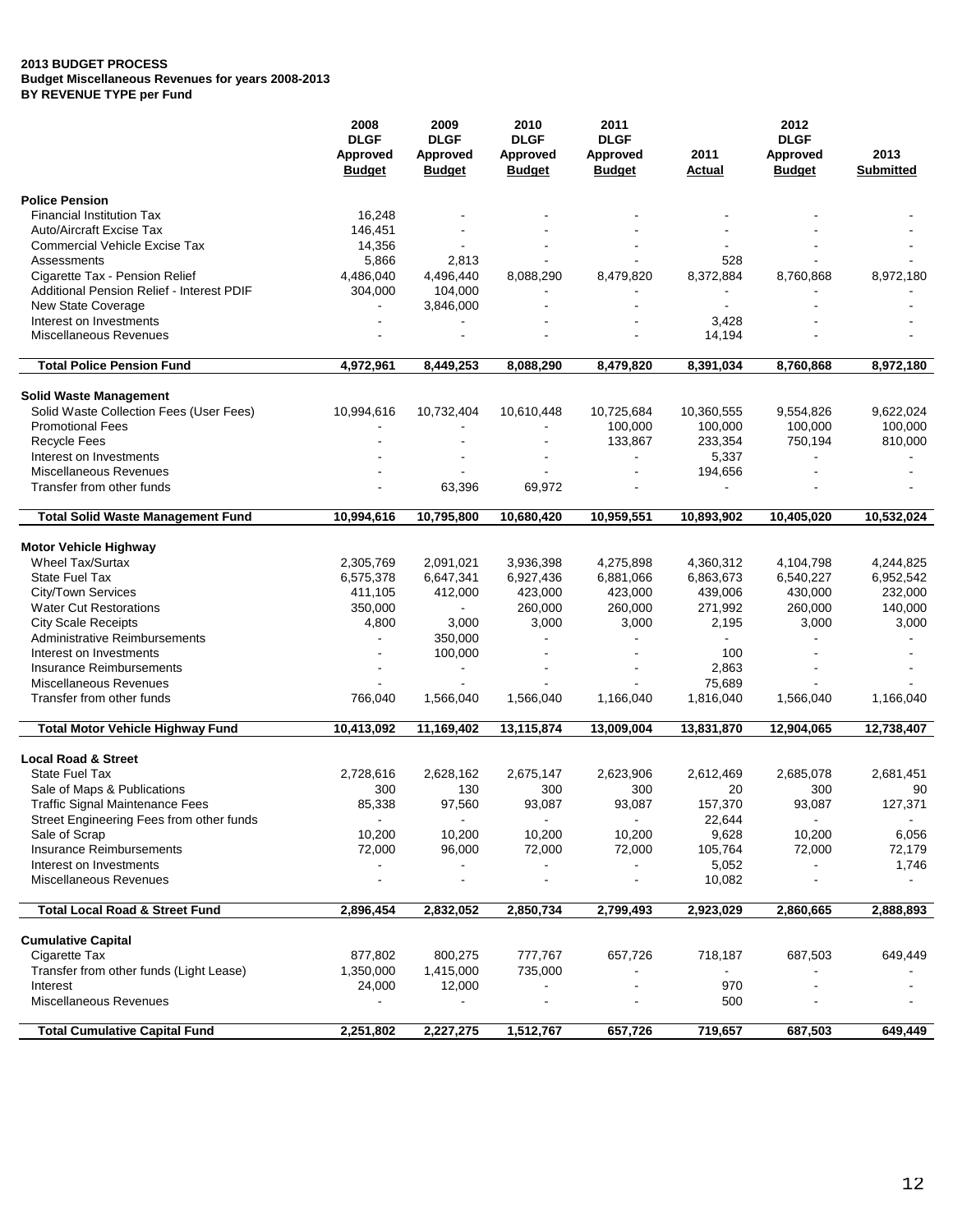|                                           | 2008                             | 2009                                     | 2010                                            | 2011                                     | 2012           |                                  |                          |  |
|-------------------------------------------|----------------------------------|------------------------------------------|-------------------------------------------------|------------------------------------------|----------------|----------------------------------|--------------------------|--|
|                                           | <b>DLGF</b>                      | <b>DLGF</b><br>Approved<br><b>Budget</b> | <b>DLGF</b><br><b>Approved</b><br><b>Budget</b> | <b>DLGF</b><br>Approved<br><b>Budget</b> |                | <b>DLGF</b>                      |                          |  |
|                                           | <b>Approved</b><br><b>Budget</b> |                                          |                                                 |                                          | 2011<br>Actual | <b>Approved</b><br><b>Budget</b> | 2013<br><b>Submitted</b> |  |
| <b>Police Pension</b>                     |                                  |                                          |                                                 |                                          |                |                                  |                          |  |
| <b>Financial Institution Tax</b>          | 16,248                           |                                          |                                                 |                                          |                |                                  |                          |  |
| <b>Auto/Aircraft Excise Tax</b>           | 146,451                          |                                          |                                                 |                                          |                |                                  |                          |  |
| <b>Commercial Vehicle Excise Tax</b>      | 14,356                           |                                          |                                                 |                                          |                |                                  |                          |  |
| Assessments                               | 5,866                            | 2,813                                    |                                                 |                                          | 528            |                                  |                          |  |
| Cigarette Tax - Pension Relief            | 4,486,040                        | 4,496,440                                | 8,088,290                                       | 8,479,820                                | 8,372,884      | 8,760,868                        | 8,972,180                |  |
| Additional Pension Relief - Interest PDIF | 304,000                          | 104,000                                  |                                                 |                                          |                |                                  |                          |  |
| New State Coverage                        |                                  | 3,846,000                                |                                                 |                                          | L.             |                                  |                          |  |
| Interest on Investments                   |                                  |                                          |                                                 |                                          | 3,428          |                                  |                          |  |
| Miscellaneous Revenues                    |                                  | $\blacksquare$                           |                                                 |                                          | 14,194         |                                  |                          |  |
| <b>Total Police Pension Fund</b>          | 4,972,961                        | 8,449,253                                | 8,088,290                                       | 8,479,820                                | 8,391,034      | 8,760,868                        | 8,972,180                |  |
|                                           |                                  |                                          |                                                 |                                          |                |                                  |                          |  |
| <b>Solid Waste Management</b>             |                                  |                                          |                                                 |                                          |                |                                  |                          |  |
| Solid Waste Collection Fees (User Fees)   | 10,994,616                       | 10,732,404                               | 10,610,448                                      | 10,725,684                               | 10,360,555     | 9,554,826                        | 9,622,024                |  |
| <b>Promotional Fees</b>                   |                                  |                                          |                                                 | 100,000                                  | 100,000        | 100,000                          | 100,000                  |  |
| <b>Recycle Fees</b>                       |                                  |                                          |                                                 | 133,867                                  | 233,354        | 750,194                          | 810,000                  |  |
| Interest on Investments                   |                                  |                                          |                                                 | $\blacksquare$                           | 5,337          | $\blacksquare$                   | $\blacksquare$           |  |
| Miscellaneous Revenues                    |                                  |                                          |                                                 |                                          | 194,656        |                                  |                          |  |
| Transfer from other funds                 |                                  | 63,396                                   | 69,972                                          |                                          |                |                                  |                          |  |
| <b>Total Solid Waste Management Fund</b>  | 10,994,616                       | 10,795,800                               | 10,680,420                                      | 10,959,551                               | 10,893,902     | 10,405,020                       | 10,532,024               |  |
| <b>Motor Vehicle Highway</b>              |                                  |                                          |                                                 |                                          |                |                                  |                          |  |
| <b>Wheel Tax/Surtax</b>                   | 2,305,769                        | 2,091,021                                | 3,936,398                                       | 4,275,898                                | 4,360,312      | 4,104,798                        | 4,244,825                |  |
| <b>State Fuel Tax</b>                     | 6,575,378                        | 6,647,341                                | 6,927,436                                       | 6,881,066                                | 6,863,673      | 6,540,227                        | 6,952,542                |  |
| City/Town Services                        | 411,105                          | 412,000                                  | 423,000                                         | 423,000                                  | 439,006        | 430,000                          | 232,000                  |  |
| <b>Water Cut Restorations</b>             | 350,000                          | $\blacksquare$                           | 260,000                                         | 260,000                                  | 271,992        | 260,000                          | 140,000                  |  |
| <b>City Scale Receipts</b>                | 4,800                            | 3,000                                    | 3,000                                           | 3,000                                    | 2,195          | 3,000                            | 3,000                    |  |
| <b>Administrative Reimbursements</b>      | $\blacksquare$                   | 350,000                                  |                                                 |                                          |                |                                  |                          |  |
| Interest on Investments                   | $\blacksquare$                   | 100,000                                  | $\blacksquare$                                  |                                          | 100            |                                  |                          |  |
| <b>Insurance Reimbursements</b>           |                                  |                                          |                                                 |                                          | 2,863          |                                  |                          |  |
| Miscellaneous Revenues                    |                                  |                                          |                                                 |                                          | 75,689         |                                  |                          |  |
| Transfer from other funds                 | 766,040                          | 1,566,040                                | 1,566,040                                       | 1,166,040                                | 1,816,040      | 1,566,040                        | 1,166,040                |  |
| <b>Total Motor Vehicle Highway Fund</b>   | 10,413,092                       | 11,169,402                               | 13,115,874                                      | 13,009,004                               | 13,831,870     | 12,904,065                       | 12,738,407               |  |
|                                           |                                  |                                          |                                                 |                                          |                |                                  |                          |  |
| <b>Local Road &amp; Street</b>            |                                  |                                          |                                                 |                                          |                |                                  |                          |  |
| <b>State Fuel Tax</b>                     | 2,728,616                        | 2,628,162                                | 2,675,147                                       | 2,623,906                                | 2,612,469      | 2,685,078                        | 2,681,451                |  |
| Sale of Maps & Publications               | 300                              | 130                                      | 300                                             | 300                                      | 20             | 300                              | 90                       |  |
| <b>Traffic Signal Maintenance Fees</b>    | 85,338                           | 97,560                                   | 93,087                                          | 93,087                                   | 157,370        | 93,087                           | 127,371                  |  |
| Street Engineering Fees from other funds  | $\sim$                           | $\blacksquare$                           | $\sim$                                          | $\blacksquare$                           | 22,644         | $\sim$                           | $\blacksquare$           |  |
| Sale of Scrap                             | 10,200                           | 10,200                                   | 10,200                                          | 10,200                                   | 9,628          | 10,200                           | 6,056                    |  |
| <b>Insurance Reimbursements</b>           | 72,000                           | 96,000                                   | 72,000                                          | 72,000                                   | 105,764        | 72,000                           | 72,179                   |  |
| Interest on Investments                   |                                  |                                          |                                                 |                                          | 5,052          |                                  | 1,746                    |  |
| Miscellaneous Revenues                    |                                  |                                          |                                                 |                                          | 10,082         |                                  |                          |  |
| <b>Total Local Road &amp; Street Fund</b> | 2,896,454                        | 2,832,052                                | 2,850,734                                       | 2,799,493                                | 2,923,029      | 2,860,665                        | 2,888,893                |  |
| <b>Cumulative Capital</b>                 |                                  |                                          |                                                 |                                          |                |                                  |                          |  |
| Cigarette Tax                             | 877,802                          | 800,275                                  | 777,767                                         | 657,726                                  | 718,187        | 687,503                          | 649,449                  |  |
| Transfer from other funds (Light Lease)   | 1,350,000                        | 1,415,000                                | 735,000                                         |                                          | $\blacksquare$ |                                  |                          |  |
| Interest                                  | 24,000                           | 12,000                                   |                                                 |                                          | 970            |                                  |                          |  |
| Miscellaneous Revenues                    |                                  |                                          |                                                 |                                          | 500            |                                  |                          |  |
| <b>Total Cumulative Capital Fund</b>      | 2,251,802                        | 2,227,275                                | 1,512,767                                       | 657,726                                  | 719,657        | 687,503                          | 649,449                  |  |
|                                           |                                  |                                          |                                                 |                                          |                |                                  |                          |  |